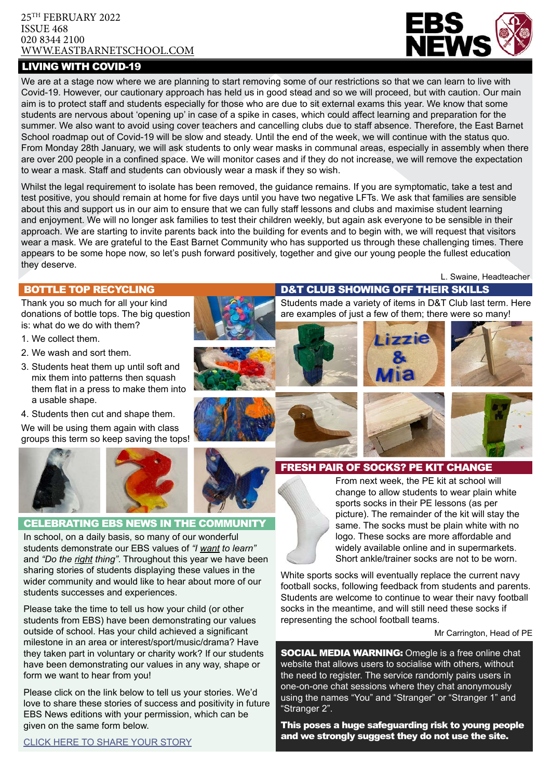#### 25TH FEBRUARY 2022 ISSUE 468 020 8344 2100 [WWW.EASTBARNETSCHOOL.](http://www.eastbarnet.barnet.sch.uk)COM

# LIVING WITH COVID-19



We are at a stage now where we are planning to start removing some of our restrictions so that we can learn to live with Covid-19. However, our cautionary approach has held us in good stead and so we will proceed, but with caution. Our main aim is to protect staff and students especially for those who are due to sit external exams this year. We know that some students are nervous about 'opening up' in case of a spike in cases, which could affect learning and preparation for the summer. We also want to avoid using cover teachers and cancelling clubs due to staff absence. Therefore, the East Barnet School roadmap out of Covid-19 will be slow and steady. Until the end of the week, we will continue with the status quo. From Monday 28th January, we will ask students to only wear masks in communal areas, especially in assembly when there are over 200 people in a confined space. We will monitor cases and if they do not increase, we will remove the expectation to wear a mask. Staff and students can obviously wear a mask if they so wish.

Whilst the legal requirement to isolate has been removed, the guidance remains. If you are symptomatic, take a test and test positive, you should remain at home for five days until you have two negative LFTs. We ask that families are sensible about this and support us in our aim to ensure that we can fully staff lessons and clubs and maximise student learning and enjoyment. We will no longer ask families to test their children weekly, but again ask everyone to be sensible in their approach. We are starting to invite parents back into the building for events and to begin with, we will request that visitors wear a mask. We are grateful to the East Barnet Community who has supported us through these challenging times. There appears to be some hope now, so let's push forward positively, together and give our young people the fullest education they deserve.

#### BOTTLE TOP RECYCLING

Thank you so much for all your kind donations of bottle tops. The big question is: what do we do with them?

- 1. We collect them.
- 2. We wash and sort them.
- 3. Students heat them up until soft and mix them into patterns then squash them flat in a press to make them into a usable shape.
- 4. Students then cut and shape them.

We will be using them again with class groups this term so keep saving the tops!



L. Swaine, Headteacher

#### D&T CLUB SHOWING OFF THEIR SKILLS

Students made a variety of items in D&T Club last term. Here are examples of just a few of them; there were so many!









### FRESH PAIR OF SOCKS? PE KIT CHANGE



#### CELEBRATING EBS NEWS IN THE COMMUNITY

In school, on a daily basis, so many of our wonderful students demonstrate our EBS values of *"I want to learn"* and *"Do the right thing"*. Throughout this year we have been sharing stories of students displaying these values in the wider community and would like to hear about more of our students successes and experiences.

Please take the time to tell us how your child (or other students from EBS) have been demonstrating our values outside of school. Has your child achieved a significant milestone in an area or interest/sport/music/drama? Have they taken part in voluntary or charity work? If our students have been demonstrating our values in any way, shape or form we want to hear from you!

Please click on the link below to tell us your stories. We'd love to share these stories of success and positivity in future EBS News editions with your permission, which can be given on the same form below.

From next week, the PE kit at school will change to allow students to wear plain white sports socks in their PE lessons (as per picture). The remainder of the kit will stay the same. The socks must be plain white with no logo. These socks are more affordable and widely available online and in supermarkets. Short ankle/trainer socks are not to be worn.

White sports socks will eventually replace the current navy football socks, following feedback from students and parents. Students are welcome to continue to wear their navy football socks in the meantime, and will still need these socks if representing the school football teams.

#### Mr Carrington, Head of PE

**SOCIAL MEDIA WARNING:** Omegle is a free online chat website that allows users to socialise with others, without the need to register. The service randomly pairs users in one-on-one chat sessions where they chat anonymously using the names "You" and "Stranger" or "Stranger 1" and "Stranger 2".

This poses a huge safeguarding risk to young people and we strongly suggest they do not use the site.

[CLICK HERE TO SHARE YOUR STORY](https://forms.office.com/r/51K5HYKQKN)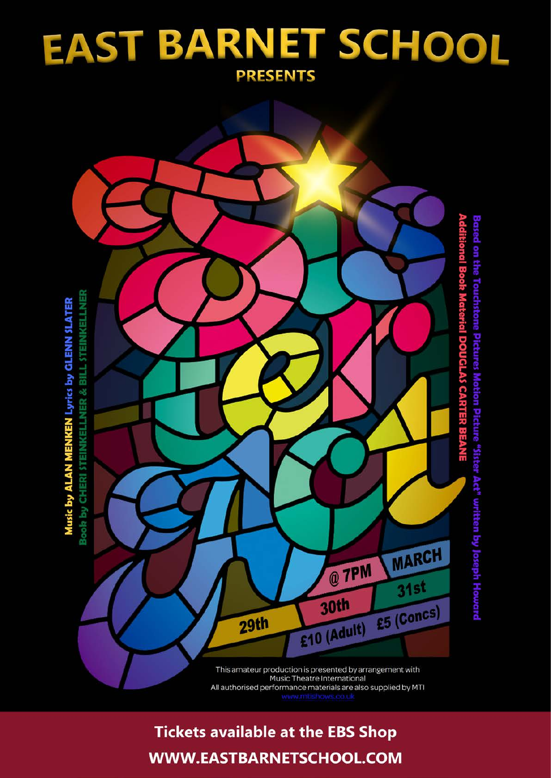# EAST BARNET SCHOOL **PRESENTS**



All authorised performance materials are also supplied by MTI

# **Tickets available at the EBS Shop** WWW.EASTBARNETSCHOOL.COM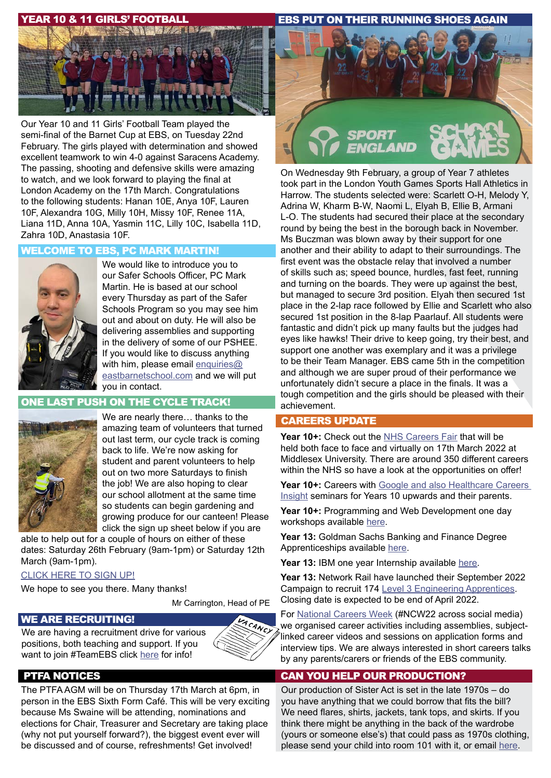#### YEAR 10 & 11 GIRLS' FOOTBALL

EBS PUT ON THEIR RUNNING SHOES AGAIN



Our Year 10 and 11 Girls' Football Team played the semi-final of the Barnet Cup at EBS, on Tuesday 22nd February. The girls played with determination and showed excellent teamwork to win 4-0 against Saracens Academy. The passing, shooting and defensive skills were amazing to watch, and we look forward to playing the final at London Academy on the 17th March. Congratulations to the following students: Hanan 10E, Anya 10F, Lauren 10F, Alexandra 10G, Milly 10H, Missy 10F, Renee 11A, Liana 11D, Anna 10A, Yasmin 11C, Lilly 10C, Isabella 11D, Zahra 10D, Anastasia 10F.

## WELCOME TO EBS, PC MARK MARTIN!



We would like to introduce you to our Safer Schools Officer, PC Mark Martin. He is based at our school every Thursday as part of the Safer Schools Program so you may see him out and about on duty. He will also be delivering assemblies and supporting in the delivery of some of our PSHEE. If you would like to discuss anything with him, please email enquiries $@$ [eastbarnetschool.com](mailto:enquiries%40eastbarnetschool.com?subject=PC%20Mark) and we will put you in contact.

### ONE LAST PUSH ON THE CYCLE TRACK!



We are nearly there… thanks to the amazing team of volunteers that turned out last term, our cycle track is coming back to life. We're now asking for student and parent volunteers to help out on two more Saturdays to finish the job! We are also hoping to clear our school allotment at the same time so students can begin gardening and growing produce for our canteen! Please click the sign up sheet below if you are

able to help out for a couple of hours on either of these dates: Saturday 26th February (9am-1pm) or Saturday 12th March (9am-1pm).

#### [CLICK HERE TO SIGN UP!](https://bit.ly/3hfQs26)

We hope to see you there. Many thanks!

Mr Carrington, Head of PE

ANCY

#### WE ARE RECRUITING!

We are having a recruitment drive for various positions, both teaching and support. If you want to join #TeamEBS click [here](https://www.eastbarnetschool.com/vacancies/) for info!

### PTFA NOTICES

The PTFA AGM will be on Thursday 17th March at 6pm, in person in the EBS Sixth Form Café. This will be very exciting because Ms Swaine will be attending, nominations and elections for Chair, Treasurer and Secretary are taking place (why not put yourself forward?), the biggest event ever will be discussed and of course, refreshments! Get involved!



On Wednesday 9th February, a group of Year 7 athletes took part in the London Youth Games Sports Hall Athletics in Harrow. The students selected were: Scarlett O-H, Melody Y, Adrina W, Kharm B-W, Naomi L, Elyah B, Ellie B, Armani L-O. The students had secured their place at the secondary round by being the best in the borough back in November. Ms Buczman was blown away by their support for one another and their ability to adapt to their surroundings. The first event was the obstacle relay that involved a number of skills such as; speed bounce, hurdles, fast feet, running and turning on the boards. They were up against the best, but managed to secure 3rd position. Elyah then secured 1st place in the 2-lap race followed by Ellie and Scarlett who also secured 1st position in the 8-lap Paarlauf. All students were fantastic and didn't pick up many faults but the judges had eyes like hawks! Their drive to keep going, try their best, and support one another was exemplary and it was a privilege to be their Team Manager. EBS came 5th in the competition and although we are super proud of their performance we unfortunately didn't secure a place in the finals. It was a tough competition and the girls should be pleased with their achievement.

#### CAREERS UPDATE

**Year 10+:** Check out the [NHS Careers Fair](https://www.mdx.ac.uk/study-with-us/information-for-schools/resources/nhs-social-care-careers-fair) that will be held both face to face and virtually on 17th March 2022 at Middlesex University. There are around 350 different careers within the NHS so have a look at the opportunities on offer!

Year 10<sup>+</sup>: Careers with Google and also Healthcare Careers [Insight](https://mailchi.mp/successatschool/check-out-our-upcoming-insight-webinars-for-students-and-parents-1281939%3Fe%3D642d5f3a08) seminars for Years 10 upwards and their parents.

Year 10<sup>+</sup>: Programming and Web Development one day workshops available [here](https://spotler.qagroup.com/qaapprenticeshipslz/lz.aspx%3Fp1%3DVz4DA1MVM5OTYxNTc1Mzo3RDczQ0M1NDcyNzQ3NDJGQTY2NUFFNjExRjRBMkZDNA%253d%253d-%26CC%3D%26p%3D0%26goal%3D0_f09eb3b2c8-6be5407c21-212116952%26mc_cid%3D6be5407c21%26mc_eid%3D642d5f3a08).

**Year 13:** Goldman Sachs Banking and Finance Degree Apprenticeships available [here.](https://www.allaboutschoolleavers.co.uk/employers/profile/goldman-sachs)

**Year 13:** IBM one year Internship available [here.](https://successatschool.org/jobandcoursedetail/569/IBM-Business-Futures-Gap-Year-Placement)

**Year 13:** Network Rail have launched their September 2022 Campaign to recruit 174 [Level 3 Engineering Apprentices](https://www.networkrail.co.uk/careers/early-careers/apprenticeships/level-3-engineering-apprenticeship/). Closing date is expected to be end of April 2022.

For [National Careers Week](https://www.youthemployment.org.uk/employment-help-young-people/national-careers-week/) (#NCW22 across social media) we organised career activities including assemblies, subjectlinked career videos and sessions on application forms and interview tips. We are always interested in short careers talks by any parents/carers or friends of the EBS community.

## CAN YOU HELP OUR PRODUCTION?

Our production of Sister Act is set in the late 1970s – do you have anything that we could borrow that fits the bill? We need flares, shirts, jackets, tank tops, and skirts. If you think there might be anything in the back of the wardrobe (yours or someone else's) that could pass as 1970s clothing, please send your child into room 101 with it, or email [here](kmessios%40eastbarnetschool.com).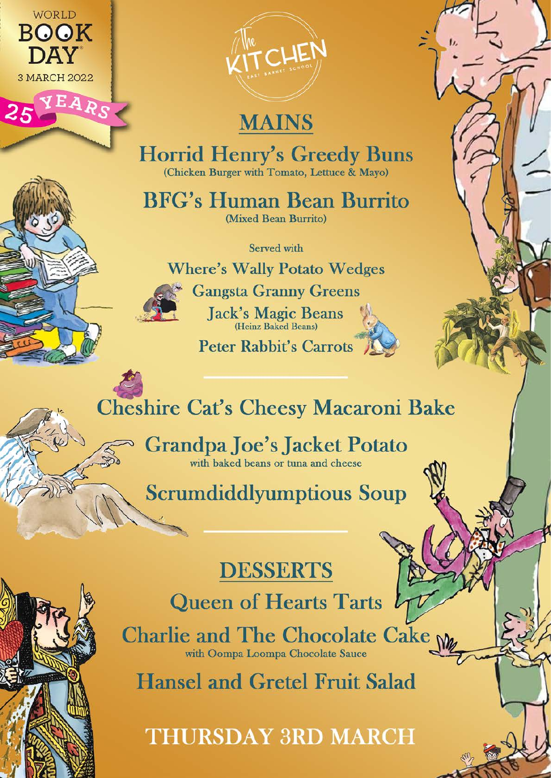

V F. a



# **MAINS**

**Horrid Henry's Greedy Buns** (Chicken Burger with Tomato, Lettuce & Mayo)

**BFG's Human Bean Burrito** (Mixed Bean Burrito)

Served with

**Where's Wally Potato Wedges** 



**Gangsta Granny Greens** Jack's Magic Beans

Peter Rabbit's Carrots

# **Cheshire Cat's Cheesy Macaroni Bake**

**Grandpa Joe's Jacket Potato** with baked beans or tuna and cheese

**Scrumdiddlyumptious Soup** 

# **DESSERTS**

**Queen of Hearts Tarts** 

Charlie and The Chocolate Cake M with Oompa Loompa Chocolate Sauce

**Hansel and Gretel Fruit Salad** 

**THURSDAY 3RD MARCH**